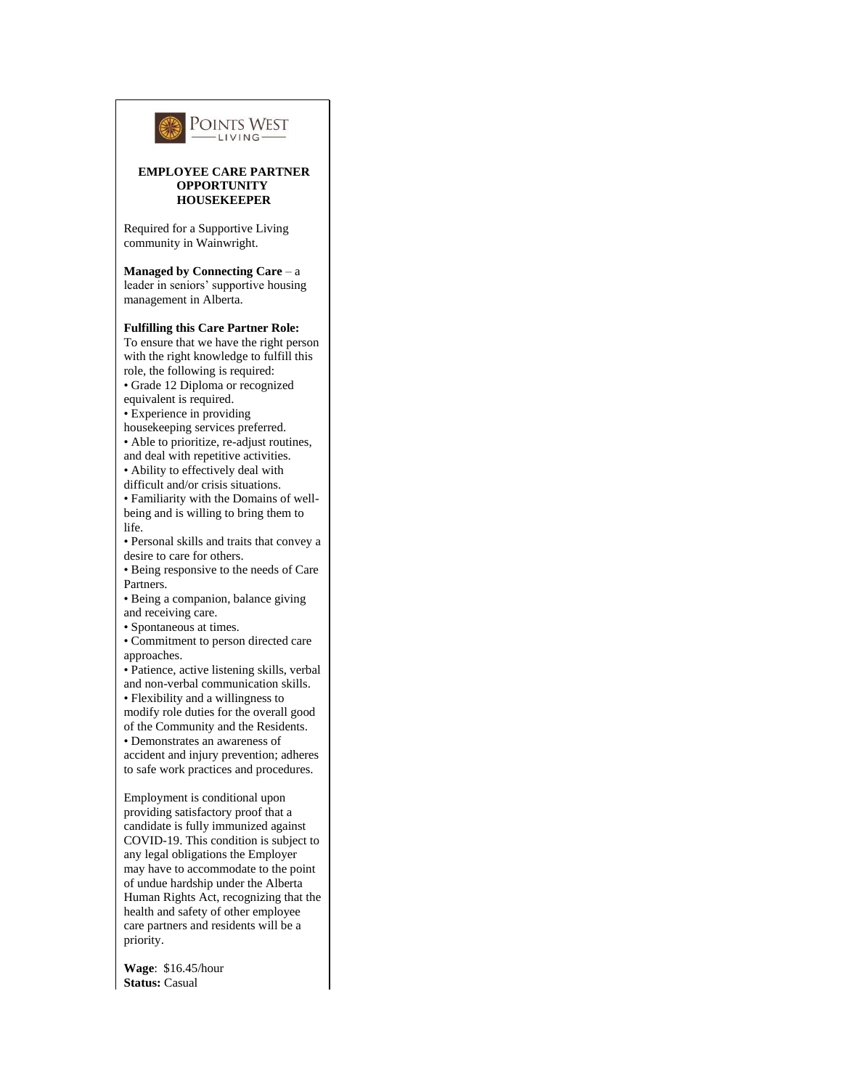

**Wage**: \$16.45/hour **Status:** Casual